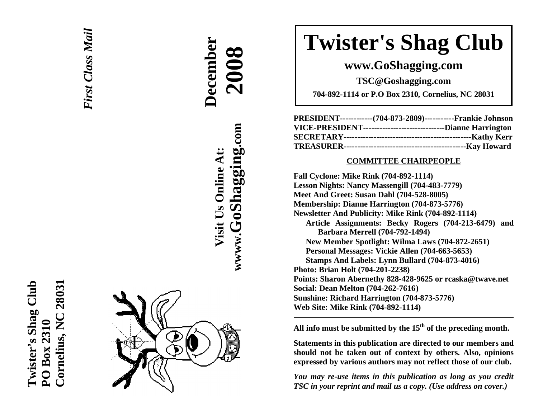



**December** 

**Visit Us Online At:**

Visit Us Online At:

**wwww.GoShagging.com**

www.GoShagging.com

**2008**

# **Twister's Shag Club**

**www.GoShagging.com** 

**TSC@Goshagging.com** 

**704-892-1114 or P.O Box 2310, Cornelius, NC 28031** 

| PRESIDENT------------(704-873-2809)-----------Frankie Johnson   |  |
|-----------------------------------------------------------------|--|
| VICE-PRESIDENT--------------------------------Dianne Harrington |  |
|                                                                 |  |
|                                                                 |  |

#### **COMMITTEE CHAIRPEOPLE**

**Fall Cyclone: Mike Rink (704-892-1114) Lesson Nights: Nancy Massengill (704-483-7779) Meet And Greet: Susan Dahl (704-528-8005) Membership: Dianne Harrington (704-873-5776) Newsletter And Publicity: Mike Rink (704-892-1114) Article Assignments: Becky Rogers (704-213-6479) and Barbara Merrell (704-792-1494) New Member Spotlight: Wilma Laws (704-872-2651) Personal Messages: Vickie Allen (704-663-5653) Stamps And Labels: Lynn Bullard (704-873-4016) Photo: Brian Holt (704-201-2238) Points: Sharon Abernethy 828-428-9625 or rcaska@twave.net Social: Dean Melton (704-262-7616 ) Sunshine: Richard Harrington (704-873-5776) Web Site: Mike Rink (704-892-1114)** 

**All info must be submitted by the 15th of the preceding month.** 

**Statements in this publication are directed to our members and should not be taken out of context by others. Also, opinions expressed by various authors may not reflect those of our club.** 

*You may re-use items in this publication as long as you credit TSC in your reprint and mail us a copy. (Use address on cover.)*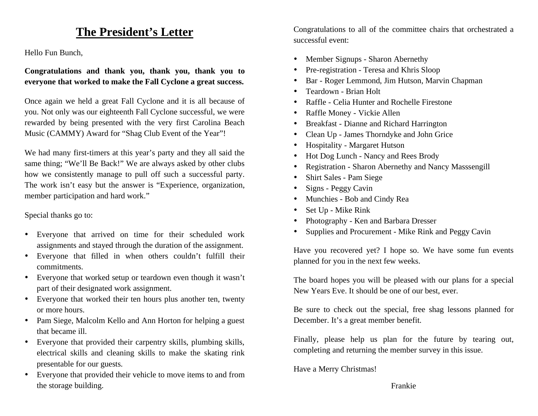## **The President's Letter**

Hello Fun Bunch,

**Congratulations and thank you, thank you, thank you to everyone that worked to make the Fall Cyclone a great success.** 

Once again we held a great Fall Cyclone and it is all because of you. Not only was our eighteenth Fall Cyclone successful, we were rewarded by being presented with the very first Carolina Beach Music (CAMMY) Award for "Shag Club Event of the Year"!

We had many first-timers at this year's party and they all said the same thing; "We'll Be Back!" We are always asked by other clubs how we consistently manage to pull off such a successful party. The work isn't easy but the answer is "Experience, organization, member participation and hard work."

Special thanks go to:

- Everyone that arrived on time for their scheduled work assignments and stayed through the duration of the assignment.
- Everyone that filled in when others couldn't fulfill their commitments.
- Everyone that worked setup or teardown even though it wasn't part of their designated work assignment.
- Everyone that worked their ten hours plus another ten, twenty or more hours.
- Pam Siege, Malcolm Kello and Ann Horton for helping a guest that became ill.
- Everyone that provided their carpentry skills, plumbing skills, electrical skills and cleaning skills to make the skating rink presentable for our guests.
- Everyone that provided their vehicle to move items to and from the storage building.

Congratulations to all of the committee chairs that orchestrated a successful event:

- •Member Signups - Sharon Abernethy
- •Pre-registration - Teresa and Khris Sloop
- •Bar - Roger Lemmond, Jim Hutson, Marvin Chapman
- •Teardown - Brian Holt
- •Raffle - Celia Hunter and Rochelle Firestone
- •Raffle Money - Vickie Allen
- Breakfast Dianne and Richard Harrington
- Clean Up James Thorndyke and John Grice
- •Hospitality - Margaret Hutson
- Hot Dog Lunch Nancy and Rees Brody
- Registration Sharon Abernethy and Nancy Masssengill
- Shirt Sales Pam Siege
- Signs Peggy Cavin
- Munchies Bob and Cindy Rea
- Set Up Mike Rink
- •Photography - Ken and Barbara Dresser
- •Supplies and Procurement - Mike Rink and Peggy Cavin

Have you recovered yet? I hope so. We have some fun events planned for you in the next few weeks.

The board hopes you will be pleased with our plans for a special New Years Eve. It should be one of our best, ever.

Be sure to check out the special, free shag lessons planned for December. It's a great member benefit.

Finally, please help us plan for the future by tearing out, completing and returning the member survey in this issue.

Have a Merry Christmas!

Frankie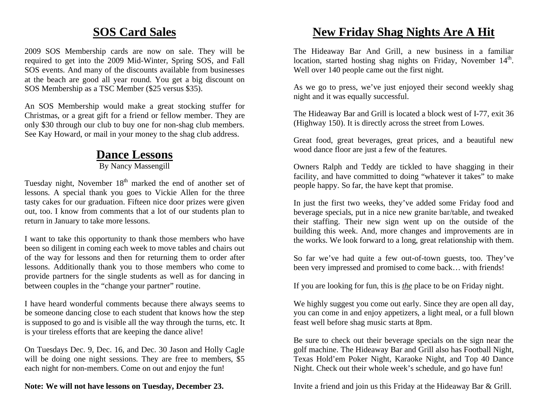### **SOS Card Sales**

2009 SOS Membership cards are now on sale. They will be required to get into the 2009 Mid-Winter, Spring SOS, and Fall SOS events. And many of the discounts available from businesses at the beach are good all year round. You get a big discount on SOS Membership as a TSC Member (\$25 versus \$35).

An SOS Membership would make a great stocking stuffer for Christmas, or a great gift for a friend or fellow member. They are only \$30 through our club to buy one for non-shag club members. See Kay Howard, or mail in your money to the shag club address.

## **Dance Lessons**

By Nancy Massengill

Tuesday night, November  $18<sup>th</sup>$  marked the end of another set of lessons. A special thank you goes to Vickie Allen for the three tasty cakes for our graduation. Fifteen nice door prizes were given out, too. I know from comments that a lot of our students plan to return in January to take more lessons.

I want to take this opportunity to thank those members who have been so diligent in coming each week to move tables and chairs out of the way for lessons and then for returning them to order after lessons. Additionally thank you to those members who come to provide partners for the single students as well as for dancing in between couples in the "change your partner" routine.

I have heard wonderful comments because there always seems to be someone dancing close to each student that knows how the step is supposed to go and is visible all the way through the turns, etc. It is your tireless efforts that are keeping the dance alive!

On Tuesdays Dec. 9, Dec. 16, and Dec. 30 Jason and Holly Cagle will be doing one night sessions. They are free to members, \$5 each night for non-members. Come on out and enjoy the fun!

### **Note: We will not have lessons on Tuesday, December 23.**

## **New Friday Shag Nights Are A Hit**

The Hideaway Bar And Grill, a new business in a familiar location, started hosting shag nights on Friday, November 14<sup>th</sup>. Well over 140 people came out the first night.

As we go to press, we've just enjoyed their second weekly shag night and it was equally successful.

The Hideaway Bar and Grill is located a block west of I-77, exit 36 (Highway 150). It is directly across the street from Lowes.

Great food, great beverages, great prices, and a beautiful new wood dance floor are just a few of the features.

Owners Ralph and Teddy are tickled to have shagging in their facility, and have committed to doing "whatever it takes" to make people happy. So far, the have kept that promise.

In just the first two weeks, they've added some Friday food and beverage specials, put in a nice new granite bar/table, and tweaked their staffing. Their new sign went up on the outside of the building this week. And, more changes and improvements are in the works. We look forward to a long, great relationship with them.

So far we've had quite a few out-of-town guests, too. They've been very impressed and promised to come back… with friends!

If you are looking for fun, this is *the* place to be on Friday night.

We highly suggest you come out early. Since they are open all day, you can come in and enjoy appetizers, a light meal, or a full blown feast well before shag music starts at 8pm.

Be sure to check out their beverage specials on the sign near the golf machine. The Hideaway Bar and Grill also has Football Night, Texas Hold'em Poker Night, Karaoke Night, and Top 40 Dance Night. Check out their whole week's schedule, and go have fun!

Invite a friend and join us this Friday at the Hideaway Bar & Grill.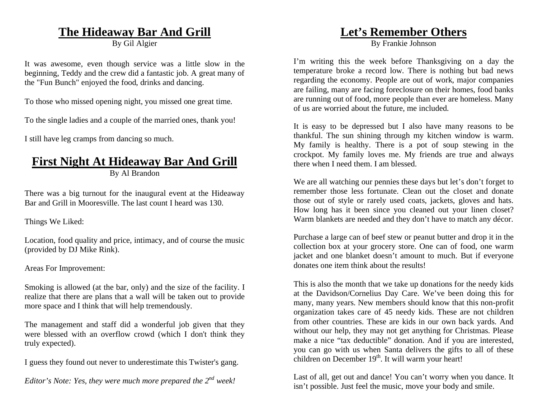### **The Hideaway Bar And Grill**

By Gil Algier

It was awesome, even though service was a little slow in the beginning, Teddy and the crew did a fantastic job. A great many of the "Fun Bunch" enjoyed the food, drinks and dancing.

To those who missed opening night, you missed one great time.

To the single ladies and a couple of the married ones, thank you!

I still have leg cramps from dancing so much.

# **First Night At Hideaway Bar And Grill**

By Al Brandon

There was a big turnout for the inaugural event at the Hideaway Bar and Grill in Mooresville. The last count I heard was 130.

Things We Liked:

Location, food quality and price, intimacy, and of course the music (provided by DJ Mike Rink).

Areas For Improvement:

Smoking is allowed (at the bar, only) and the size of the facility. I realize that there are plans that a wall will be taken out to provide more space and I think that will help tremendously.

The management and staff did a wonderful job given that they were blessed with an overflow crowd (which I don't think they truly expected).

I guess they found out never to underestimate this Twister's gang.

*Editor's Note: Yes, they were much more prepared the 2<sup>nd</sup> week!* 

### **Let's Remember Others**

By Frankie Johnson

I'm writing this the week before Thanksgiving on a day the temperature broke a record low. There is nothing but bad news regarding the economy. People are out of work, major companies are failing, many are facing foreclosure on their homes, food banks are running out of food, more people than ever are homeless. Many of us are worried about the future, me included.

It is easy to be depressed but I also have many reasons to be thankful. The sun shining through my kitchen window is warm. My family is healthy. There is a pot of soup stewing in the crockpot. My family loves me. My friends are true and always there when I need them. I am blessed.

We are all watching our pennies these days but let's don't forget to remember those less fortunate. Clean out the closet and donate those out of style or rarely used coats, jackets, gloves and hats. How long has it been since you cleaned out your linen closet? Warm blankets are needed and they don't have to match any décor.

Purchase a large can of beef stew or peanut butter and drop it in the collection box at your grocery store. One can of food, one warm jacket and one blanket doesn't amount to much. But if everyone donates one item think about the results!

This is also the month that we take up donations for the needy kids at the Davidson/Cornelius Day Care. We've been doing this for many, many years. New members should know that this non-profit organization takes care of 45 needy kids. These are not children from other countries. These are kids in our own back yards. And without our help, they may not get anything for Christmas. Please make a nice "tax deductible" donation. And if you are interested, you can go with us when Santa delivers the gifts to all of these children on December  $19<sup>th</sup>$ . It will warm your heart!

Last of all, get out and dance! You can't worry when you dance. It isn't possible. Just feel the music, move your body and smile.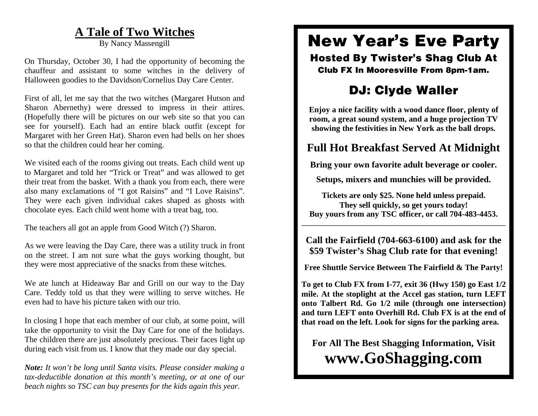### **A Tale of Two Witches**

By Nancy Massengill

On Thursday, October 30, I had the opportunity of becoming the chauffeur and assistant to some witches in the delivery of Halloween goodies to the Davidson/Cornelius Day Care Center.

First of all, let me say that the two witches (Margaret Hutson and Sharon Abernethy) were dressed to impress in their attires. (Hopefully there will be pictures on our web site so that you can see for yourself). Each had an entire black outfit (except for Margaret with her Green Hat). Sharon even had bells on her shoes so that the children could hear her coming.

We visited each of the rooms giving out treats. Each child went up to Margaret and told her "Trick or Treat" and was allowed to get their treat from the basket. With a thank you from each, there were also many exclamations of "I got Raisins" and "I Love Raisins". They were each given individual cakes shaped as ghosts with chocolate eyes. Each child went home with a treat bag, too.

The teachers all got an apple from Good Witch (?) Sharon.

As we were leaving the Day Care, there was a utility truck in front on the street. I am not sure what the guys working thought, but they were most appreciative of the snacks from these witches.

We ate lunch at Hideaway Bar and Grill on our way to the Day Care. Teddy told us that they were willing to serve witches. He even had to have his picture taken with our trio.

In closing I hope that each member of our club, at some point, will take the opportunity to visit the Day Care for one of the holidays. The children there are just absolutely precious. Their faces light up during each visit from us. I know that they made our day special.

*Note: It won't be long until Santa visits. Please consider making a tax-deductible donation at this month's meeting, or at one of our beach nights so TSC can buy presents for the kids again this year.* 

## **New Year's Eve Party**

**Hosted By Twister's Shag Club At Club FX In Mooresville From 8pm-1am.** 

## **DJ: Clyde Waller**

**Enjoy a nice facility with a wood dance floor, plenty of room, a great sound system, and a huge projection TV showing the festivities in New York as the ball drops.** 

### **Full Hot Breakfast Served At Midnight**

**Bring your own favorite adult beverage or cooler.** 

**Setups, mixers and munchies will be provided.** 

**Tickets are only \$25. None held unless prepaid. They sell quickly, so get yours today! Buy yours from any TSC officer, or call 704-483-4453.** 

**Call the Fairfield (704-663-6100) and ask for the \$59 Twister's Shag Club rate for that evening!** 

**\_\_\_\_\_\_\_\_\_\_\_\_\_\_\_\_\_\_\_\_\_\_\_\_\_\_\_\_\_\_\_\_\_\_\_\_\_\_\_\_\_\_\_\_\_\_\_\_\_\_\_\_\_\_\_\_\_\_\_\_** 

**Free Shuttle Service Between The Fairfield & The Party!** 

**To get to Club FX from I-77, exit 36 (Hwy 150) go East 1/2 mile. At the stoplight at the Accel gas station, turn LEFT onto Talbert Rd. Go 1/2 mile (through one intersection) and turn LEFT onto Overhill Rd. Club FX is at the end of that road on the left. Look for signs for the parking area.** 

**For All The Best Shagging Information, Visit www.GoShagging.com**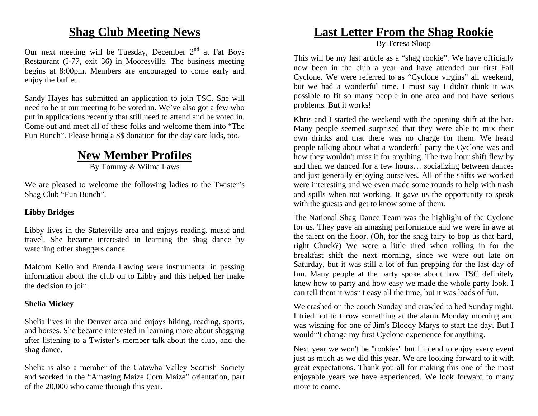### **Shag Club Meeting News**

Our next meeting will be Tuesday, December  $2<sup>nd</sup>$  at Fat Boys Restaurant (I-77, exit 36) in Mooresville. The business meeting begins at 8:00pm. Members are encouraged to come early and enjoy the buffet.

Sandy Hayes has submitted an application to join TSC. She will need to be at our meeting to be voted in. We've also got a few who put in applications recently that still need to attend and be voted in. Come out and meet all of these folks and welcome them into "The Fun Bunch". Please bring a \$\$ donation for the day care kids, too.

## **New Member Profiles**

By Tommy & Wilma Laws

We are pleased to welcome the following ladies to the Twister's Shag Club "Fun Bunch".

### **Libby Bridges**

Libby lives in the Statesville area and enjoys reading, music and travel. She became interested in learning the shag dance by watching other shaggers dance.

Malcom Kello and Brenda Lawing were instrumental in passing information about the club on to Libby and this helped her make the decision to join.

### **Shelia Mickey**

Shelia lives in the Denver area and enjoys hiking, reading, sports, and horses. She became interested in learning more about shagging after listening to a Twister's member talk about the club, and the shag dance.

Shelia is also a member of the Catawba Valley Scottish Society and worked in the "Amazing Maize Corn Maize" orientation, part of the 20,000 who came through this year.

### **Last Letter From the Shag Rookie**

By Teresa Sloop

This will be my last article as a "shag rookie". We have officially now been in the club a year and have attended our first Fall Cyclone. We were referred to as "Cyclone virgins" all weekend, but we had a wonderful time. I must say I didn't think it was possible to fit so many people in one area and not have serious problems. But it works!

Khris and I started the weekend with the opening shift at the bar. Many people seemed surprised that they were able to mix their own drinks and that there was no charge for them. We heard people talking about what a wonderful party the Cyclone was and how they wouldn't miss it for anything. The two hour shift flew by and then we danced for a few hours… socializing between dances and just generally enjoying ourselves. All of the shifts we worked were interesting and we even made some rounds to help with trash and spills when not working. It gave us the opportunity to speak with the guests and get to know some of them.

The National Shag Dance Team was the highlight of the Cyclone for us. They gave an amazing performance and we were in awe at the talent on the floor. (Oh, for the shag fairy to bop us that hard, right Chuck?) We were a little tired when rolling in for the breakfast shift the next morning, since we were out late on Saturday, but it was still a lot of fun prepping for the last day of fun. Many people at the party spoke about how TSC definitely knew how to party and how easy we made the whole party look. I can tell them it wasn't easy all the time, but it was loads of fun.

We crashed on the couch Sunday and crawled to bed Sunday night. I tried not to throw something at the alarm Monday morning and was wishing for one of Jim's Bloody Marys to start the day. But I wouldn't change my first Cyclone experience for anything.

Next year we won't be "rookies" but I intend to enjoy every event just as much as we did this year. We are looking forward to it with great expectations. Thank you all for making this one of the most enjoyable years we have experienced. We look forward to many more to come.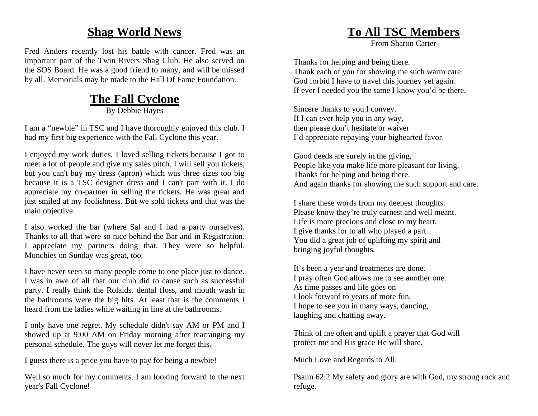### **Shag World News**

Fred Anders recently lost his battle with cancer. Fred was an important part of the Twin Rivers Shag Club. He also served on the SOS Board. He was a good friend to many, and will be missed by all. Memorials may be made to the Hall Of Fame Foundation.

## **The Fall Cyclone**

By Debbie Hayes

I am a "newbie" in TSC and I have thoroughly enjoyed this club. I had my first big experience with the Fall Cyclone this year.

I enjoyed my work duties. I loved selling tickets because I got to meet a lot of people and give my sales pitch. I will sell you tickets, but you can't buy my dress (apron) which was three sizes too big because it is a TSC designer dress and I can't part with it. I do appreciate my co-partner in selling the tickets. He was great and just smiled at my foolishness. But we sold tickets and that was the main objective.

I also worked the bar (where Sal and I had a party ourselves). Thanks to all that were so nice behind the Bar and in Registration. I appreciate my partners doing that. They were so helpful. Munchies on Sunday was great, too.

I have never seen so many people come to one place just to dance. I was in awe of all that our club did to cause such as successful party. I really think the Rolaids, dental floss, and mouth wash in the bathrooms were the big hits. At least that is the comments I heard from the ladies while waiting in line at the bathrooms.

I only have one regret. My schedule didn't say AM or PM and I showed up at 9:00 AM on Friday morning after rearranging my personal schedule. The guys will never let me forget this.

I guess there is a price you have to pay for being a newbie!

Well so much for my comments. I am looking forward to the next year's Fall Cyclone!

### **To All TSC Members**

From Sharon Carter

Thanks for helping and being there. Thank each of you for showing me such warm care. God forbid I have to travel this journey yet again. If ever I needed you the same I know you'd be there.

Sincere thanks to you I convey. If I can ever help you in any way, then please don't hesitate or waiver I'd appreciate repaying your bighearted favor.

Good deeds are surely in the giving, People like you make life more pleasant for living. Thanks for helping and being there. And again thanks for showing me such support and care.

I share these words from my deepest thoughts. Please know they're truly earnest and well meant. Life is more precious and close to my heart. I give thanks for to all who played a part. You did a great job of uplifting my spirit and bringing joyful thoughts.

It's been a year and treatments are done. I pray often God allows me to see another one. As time passes and life goes on I look forward to years of more fun. I hope to see you in many ways, dancing, laughing and chatting away.

Think of me often and uplift a prayer that God will protect me and His grace He will share.

Much Love and Regards to All.

Psalm 62:2 My safety and glory are with God, my strong rock and refuge.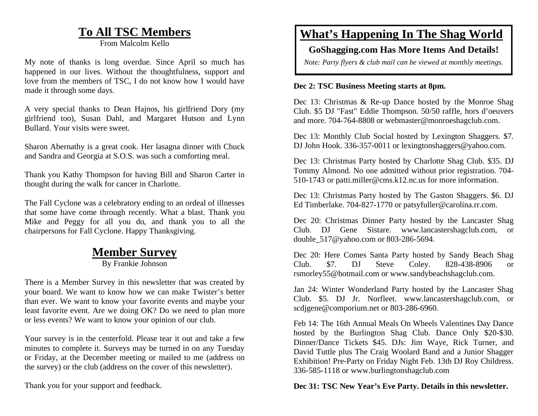### **To All TSC Members**

From Malcolm Kello

My note of thanks is long overdue. Since April so much has happened in our lives. Without the thoughtfulness, support and love from the members of TSC, I do not know how I would have made it through some days.

A very special thanks to Dean Hajnos, his girlfriend Dory (my girlfriend too), Susan Dahl, and Margaret Hutson and Lynn Bullard. Your visits were sweet.

Sharon Abernathy is a great cook. Her lasagna dinner with Chuck and Sandra and Georgia at S.O.S. was such a comforting meal.

Thank you Kathy Thompson for having Bill and Sharon Carter in thought during the walk for cancer in Charlotte.

The Fall Cyclone was a celebratory ending to an ordeal of illnesses that some have come through recently. What a blast. Thank you Mike and Peggy for all you do, and thank you to all the chairpersons for Fall Cyclone. Happy Thanksgiving.

### **Member Survey**

By Frankie Johnson

There is a Member Survey in this newsletter that was created by your board. We want to know how we can make Twister's better than ever. We want to know your favorite events and maybe your least favorite event. Are we doing OK? Do we need to plan more or less events? We want to know your opinion of our club.

Your survey is in the centerfold. Please tear it out and take a few minutes to complete it. Surveys may be turned in on any Tuesday or Friday, at the December meeting or mailed to me (address on the survey) or the club (address on the cover of this newsletter).

### Thank you for your support and feedback.

### **What's Happening In The Shag World**

### **GoShagging.com Has More Items And Details!**

*Note: Party flyers & club mail can be viewed at monthly meetings.* 

### **Dec 2: TSC Business Meeting starts at 8pm.**

Dec 13: Christmas & Re-up Dance hosted by the Monroe Shag Club. \$5 DJ "Fast" Eddie Thompson. 50/50 raffle, hors d'oeuvers and more. 704-764-8808 or webmaster@monroeshagclub.com.

Dec 13: Monthly Club Social hosted by Lexington Shaggers. \$7. DJ John Hook. 336-357-0011 or lexingtonshaggers@yahoo.com.

Dec 13: Christmas Party hosted by Charlotte Shag Club. \$35. DJ Tommy Almond. No one admitted without prior registration. 704- 510-1743 or patti.miller@cms.k12.nc.us for more information.

Dec 13: Christmas Party hosted by The Gaston Shaggers. \$6. DJ Ed Timberlake. 704-827-1770 or patsyfuller@carolina.rr.com.

Dec 20: Christmas Dinner Party hosted by the Lancaster Shag Club. DJ Gene Sistare. www.lancastershagclub.com, or double\_517@yahoo.com or 803-286-5694.

Dec 20: Here Comes Santa Party hosted by Sandy Beach Shag Club. \$7. DJ Steve Coley. 828-438-8906 or rsmorley55@hotmail.com or www.sandybeachshagclub.com.

Jan 24: Winter Wonderland Party hosted by the Lancaster Shag Club. \$5. DJ Jr. Norfleet. www.lancastershagclub.com, or scdjgene@comporium.net or 803-286-6960.

Feb 14: The 16th Annual Meals On Wheels Valentines Day Dance hosted by the Burlington Shag Club. Dance Only \$20-\$30. Dinner/Dance Tickets \$45. DJs: Jim Waye, Rick Turner, and David Tuttle plus The Craig Woolard Band and a Junior Shagger Exhibition! Pre-Party on Friday Night Feb. 13th DJ Roy Childress. 336-585-1118 or www.burlingtonshagclub.com

### **Dec 31: TSC New Year's Eve Party. Details in this newsletter.**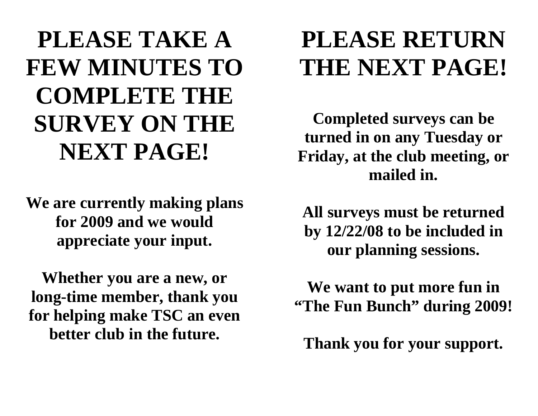# **PLEASE TAKE A FEW MINUTES TO COMPLETE THE SURVEY ON THE NEXT PAGE!**

**We are currently making plans for 2009 and we would appreciate your input.** 

**Whether you are a new, or long-time member, thank you for helping make TSC an even better club in the future.**

# **PLEASE RETURN THE NEXT PAGE!**

**Completed surveys can be turned in on any Tuesday or Friday, at the club meeting, or mailed in.** 

**All surveys must be returned by 12/22/08 to be included in our planning sessions.** 

**We want to put more fun in "The Fun Bunch" during 2009!** 

**Thank you for your support.**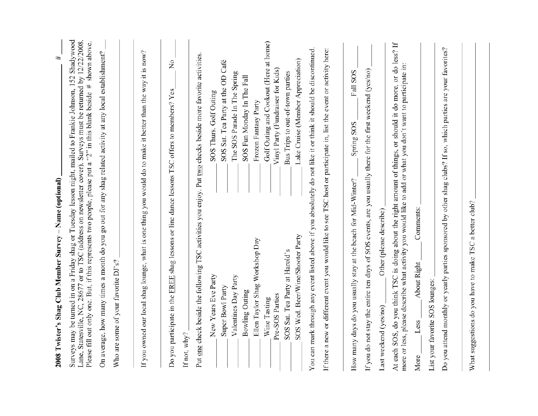| 2008 Twister's Shag Club Member Survey - Name (optional)                                                                                                                                                                                                                                                                                           | #                                      |
|----------------------------------------------------------------------------------------------------------------------------------------------------------------------------------------------------------------------------------------------------------------------------------------------------------------------------------------------------|----------------------------------------|
| Surveys may be turned in on a Friday shag or Tuesday lesson night, mailed to Frankie Johnson, 152 Shadywood<br>Lane, Statesville, NC, 28677 or to TSC (address on newsletter cover). Surveys must be returned by 12/22/2008.<br>Please fill out only one. But, if this represents two people, please put a "2" in this blank beside # shown above. |                                        |
| On average, how many times a month do you go out for any shag related activity at any local establishment?                                                                                                                                                                                                                                         |                                        |
| Who are some of your favorite DJ's?                                                                                                                                                                                                                                                                                                                |                                        |
|                                                                                                                                                                                                                                                                                                                                                    |                                        |
| If you owned our local shag lounge, what is one thing you would do to make it better than the way it is now?                                                                                                                                                                                                                                       |                                        |
| Do you participate in the FREE shag lessons or line dance lessons TSC offers to members? Yes                                                                                                                                                                                                                                                       | ž                                      |
| Put one check beside the following TSC activities you enjoy. Put two checks beside more favorite activities.<br>If not, $why?$                                                                                                                                                                                                                     |                                        |
| New Years Eve Party                                                                                                                                                                                                                                                                                                                                | SOS Thurs. Golf Outing                 |
| Super Bowl Party                                                                                                                                                                                                                                                                                                                                   | SOS Sat. Tea Party at the OD Café      |
| Valentines Day Party                                                                                                                                                                                                                                                                                                                               | The SOS Parade In The Spring           |
| Bowling Outing                                                                                                                                                                                                                                                                                                                                     | SOS Fun Monday In The Fall             |
| Ellen Taylor Shag Workshop Day                                                                                                                                                                                                                                                                                                                     | Frozen Fantasy Party                   |
| Wine Tasting                                                                                                                                                                                                                                                                                                                                       | Golf Outing and Cookout (Here at home) |
| Pre-SOS Parties                                                                                                                                                                                                                                                                                                                                    | Vinyl Party (Fundraiser for Kids)      |
| SOS Sat. Tea Party at Harold's                                                                                                                                                                                                                                                                                                                     | Bus Trips to out-of-town parties       |
| SOS Wed. Beer/Wine/Shooter Party                                                                                                                                                                                                                                                                                                                   | Lake Cruise (Member Appreciation)      |
| You can mark through any event listed above if you absolutely do not like it or think it should be discontinued                                                                                                                                                                                                                                    |                                        |
| If there a new or different event you would like to see TSC host or participate in, list the event or activity here:                                                                                                                                                                                                                               |                                        |
| How many days do you usually stay at the beach for Mid-Winter?                                                                                                                                                                                                                                                                                     | Fall SOS<br>Spring SOS                 |
| If you do not stay the entire ten days of SOS events, are you usually there for the first weekend (yes/no)                                                                                                                                                                                                                                         |                                        |
| Other (please describe)<br>Last weekend (yes/no)                                                                                                                                                                                                                                                                                                   |                                        |
| At each SOS, do you think TSC is doing about the right amount of things, or should it do more, or do less? If<br>more or less, please describe what activity you would like to add or what you don't want to participate in:                                                                                                                       |                                        |
| Comments:<br>About Right<br>Less<br>More                                                                                                                                                                                                                                                                                                           |                                        |
| List your favorite SOS lounges:                                                                                                                                                                                                                                                                                                                    |                                        |
| Do you attend monthly or yearly parties sponsored by other shag clubs? If so, which parties are your favorites?                                                                                                                                                                                                                                    |                                        |
|                                                                                                                                                                                                                                                                                                                                                    |                                        |
| What suggestions do you have to make TSC a better club?                                                                                                                                                                                                                                                                                            |                                        |
|                                                                                                                                                                                                                                                                                                                                                    |                                        |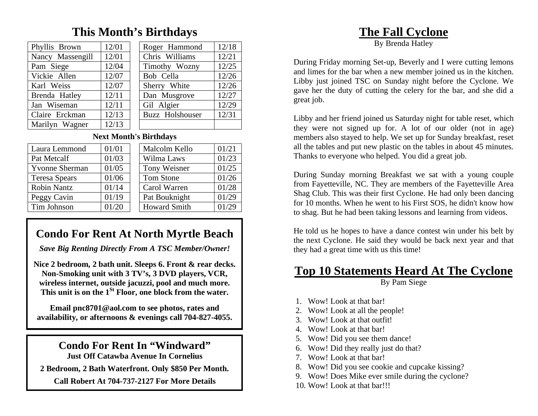### **This Month's Birthdays**

| Phyllis Brown    | 12/01 | Roger Hammond   | 12/18 |
|------------------|-------|-----------------|-------|
| Nancy Massengill | 12/01 | Chris Williams  | 12/21 |
| Pam Siege        | 12/04 | Timothy Wozny   | 12/25 |
| Vickie Allen     | 12/07 | Bob Cella       | 12/26 |
| Karl Weiss       | 12/07 | Sherry White    | 12/26 |
| Brenda Hatley    | 12/11 | Dan Musgrove    | 12/27 |
| Jan Wiseman      | 12/11 | Gil Algier      | 12/29 |
| Claire Erckman   | 12/13 | Buzz Holshouser | 12/31 |
| Marilyn Wagner   | 12/13 |                 |       |

### **Next Month's Birthdays**

| Laura Lemmond         | 01/01 | Malcolm Kello       | 01/21 |
|-----------------------|-------|---------------------|-------|
| Pat Metcalf           | 01/03 | Wilma Laws          | 01/23 |
| <b>Yvonne Sherman</b> | 01/05 | Tony Weisner        | 01/25 |
| <b>Teresa Spears</b>  | 01/06 | Tom Stone           | 01/26 |
| <b>Robin Nantz</b>    | 01/14 | Carol Warren        | 01/28 |
| Peggy Cavin           | 01/19 | Pat Bouknight       | 01/29 |
| Tim Johnson           | 01/20 | <b>Howard Smith</b> | 01/29 |

## **Condo For Rent At North Myrtle Beach**

*Save Big Renting Directly From A TSC Member/Owner!* 

**Nice 2 bedroom, 2 bath unit. Sleeps 6. Front & rear decks. Non-Smoking unit with 3 TV's, 3 DVD players, VCR, wireless internet, outside jacuzzi, pool and much more. This unit is on the 1St Floor, one block from the water.** 

**Email pnc8701@aol.com to see photos, rates and availability, or afternoons & evenings call 704-827-4055.** 

### **Condo For Rent In "Windward"**

**Just Off Catawba Avenue In Cornelius** 

**2 Bedroom, 2 Bath Waterfront. Only \$850 Per Month.** 

**Call Robert At 704-737-2127 For More Details** 

### **The Fall Cyclone**

During Friday morning Set-up, Beverly and I were cutting lemons and limes for the bar when a new member joined us in the kitchen. Libby just joined TSC on Sunday night before the Cyclone. We gave her the duty of cutting the celery for the bar, and she did a great job.

Libby and her friend joined us Saturday night for table reset, which they were not signed up for. A lot of our older (not in age) members also stayed to help. We set up for Sunday breakfast, reset all the tables and put new plastic on the tables in about 45 minutes. Thanks to everyone who helped. You did a great job.

During Sunday morning Breakfast we sat with a young couple from Fayetteville, NC. They are members of the Fayetteville Area Shag Club. This was their first Cyclone. He had only been dancing for 10 months. When he went to his First SOS, he didn't know how to shag. But he had been taking lessons and learning from videos.

He told us he hopes to have a dance contest win under his belt by the next Cyclone. He said they would be back next year and that they had a great time with us this time!

### **Top 10 Statements Heard At The Cyclone**

By Pam Siege

- 1. Wow! Look at that bar!
- 2. Wow! Look at all the people!
- 3. Wow! Look at that outfit!
- 4. Wow! Look at that bar!
- 5. Wow! Did you see them dance!
- 6. Wow! Did they really just do that?
- 7. Wow! Look at that bar!
- 8. Wow! Did you see cookie and cupcake kissing?
- 9. Wow! Does Mike ever smile during the cyclone?
- 10. Wow! Look at that bar!!!

By Brenda Hatley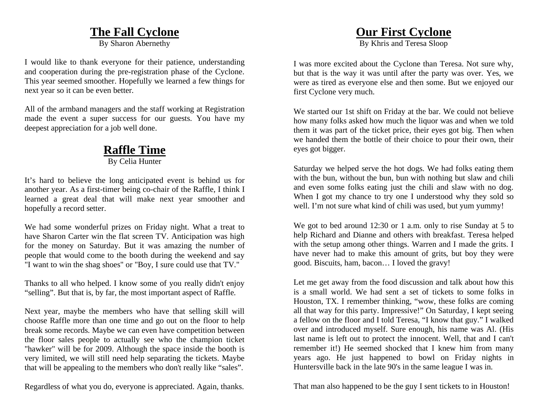### **The Fall Cyclone**

By Sharon Abernethy

I would like to thank everyone for their patience, understanding and cooperation during the pre-registration phase of the Cyclone. This year seemed smoother. Hopefully we learned a few things for next year so it can be even better.

All of the armband managers and the staff working at Registration made the event a super success for our guests. You have my deepest appreciation for a job well done.

### **Raffle Time** By Celia Hunter

It's hard to believe the long anticipated event is behind us for another year. As a first-timer being co-chair of the Raffle, I think I learned a great deal that will make next year smoother and hopefully a record setter.

We had some wonderful prizes on Friday night. What a treat to have Sharon Carter win the flat screen TV. Anticipation was high for the money on Saturday. But it was amazing the number of people that would come to the booth during the weekend and say "I want to win the shag shoes" or "Boy, I sure could use that TV."

Thanks to all who helped. I know some of you really didn't enjoy "selling". But that is, by far, the most important aspect of Raffle.

Next year, maybe the members who have that selling skill will choose Raffle more than one time and go out on the floor to help break some records. Maybe we can even have competition between the floor sales people to actually see who the champion ticket "hawker" will be for 2009. Although the space inside the booth is very limited, we will still need help separating the tickets. Maybe that will be appealing to the members who don't really like "sales".

Regardless of what you do, everyone is appreciated. Again, thanks.

### **Our First Cyclone**

By Khris and Teresa Sloop

I was more excited about the Cyclone than Teresa. Not sure why, but that is the way it was until after the party was over. Yes, we were as tired as everyone else and then some. But we enjoyed our first Cyclone very much.

We started our 1st shift on Friday at the bar. We could not believe how many folks asked how much the liquor was and when we told them it was part of the ticket price, their eyes got big. Then when we handed them the bottle of their choice to pour their own, their eyes got bigger.

Saturday we helped serve the hot dogs. We had folks eating them with the bun, without the bun, bun with nothing but slaw and chili and even some folks eating just the chili and slaw with no dog. When I got my chance to try one I understood why they sold so well. I'm not sure what kind of chili was used, but yum yummy!

We got to bed around 12:30 or 1 a.m. only to rise Sunday at 5 to help Richard and Dianne and others with breakfast. Teresa helped with the setup among other things. Warren and I made the grits. I have never had to make this amount of grits, but boy they were good. Biscuits, ham, bacon… I loved the gravy!

Let me get away from the food discussion and talk about how this is a small world. We had sent a set of tickets to some folks in Houston, TX. I remember thinking, "wow, these folks are coming all that way for this party. Impressive!" On Saturday, I kept seeing a fellow on the floor and I told Teresa, "I know that guy." I walked over and introduced myself. Sure enough, his name was Al. (His last name is left out to protect the innocent. Well, that and I can't remember it!) He seemed shocked that I knew him from many years ago. He just happened to bowl on Friday nights in Huntersville back in the late 90's in the same league I was in.

That man also happened to be the guy I sent tickets to in Houston!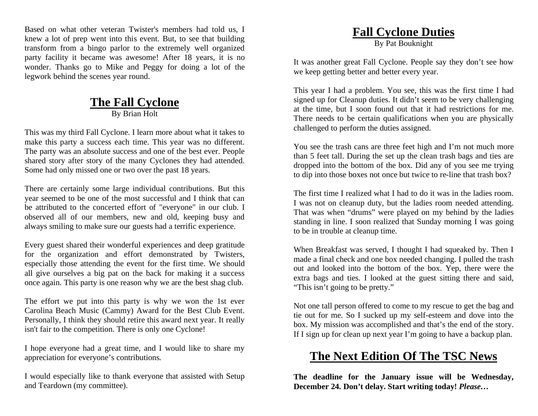Based on what other veteran Twister's members had told us, I knew a lot of prep went into this event. But, to see that building transform from a bingo parlor to the extremely well organized party facility it became was awesome! After 18 years, it is no wonder. Thanks go to Mike and Peggy for doing a lot of the legwork behind the scenes year round.

### **The Fall Cyclone** By Brian Holt

This was my third Fall Cyclone. I learn more about what it takes to make this party a success each time. This year was no different. The party was an absolute success and one of the best ever. People shared story after story of the many Cyclones they had attended. Some had only missed one or two over the past 18 years.

There are certainly some large individual contributions. But this year seemed to be one of the most successful and I think that can be attributed to the concerted effort of "everyone" in our club. I observed all of our members, new and old, keeping busy and always smiling to make sure our guests had a terrific experience.

Every guest shared their wonderful experiences and deep gratitude for the organization and effort demonstrated by Twisters, especially those attending the event for the first time. We should all give ourselves a big pat on the back for making it a success once again. This party is one reason why we are the best shag club.

The effort we put into this party is why we won the 1st ever Carolina Beach Music (Cammy) Award for the Best Club Event. Personally, I think they should retire this award next year. It really isn't fair to the competition. There is only one Cyclone!

I hope everyone had a great time, and I would like to share my appreciation for everyone's contributions.

I would especially like to thank everyone that assisted with Setup and Teardown (my committee).

### **Fall Cyclone Duties**

By Pat Bouknight

It was another great Fall Cyclone. People say they don't see how we keep getting better and better every year.

This year I had a problem. You see, this was the first time I had signed up for Cleanup duties. It didn't seem to be very challenging at the time, but I soon found out that it had restrictions for me. There needs to be certain qualifications when you are physically challenged to perform the duties assigned.

You see the trash cans are three feet high and I'm not much more than 5 feet tall. During the set up the clean trash bags and ties are dropped into the bottom of the box. Did any of you see me trying to dip into those boxes not once but twice to re-line that trash box?

The first time I realized what I had to do it was in the ladies room. I was not on cleanup duty, but the ladies room needed attending. That was when "drums" were played on my behind by the ladies standing in line. I soon realized that Sunday morning I was going to be in trouble at cleanup time.

When Breakfast was served, I thought I had squeaked by. Then I made a final check and one box needed changing. I pulled the trash out and looked into the bottom of the box. Yep, there were the extra bags and ties. I looked at the guest sitting there and said, "This isn't going to be pretty."

Not one tall person offered to come to my rescue to get the bag and tie out for me. So I sucked up my self-esteem and dove into the box. My mission was accomplished and that's the end of the story. If I sign up for clean up next year I'm going to have a backup plan.

## **The Next Edition Of The TSC News**

**The deadline for the January issue will be Wednesday, December 24. Don't delay. Start writing today!** *Please…*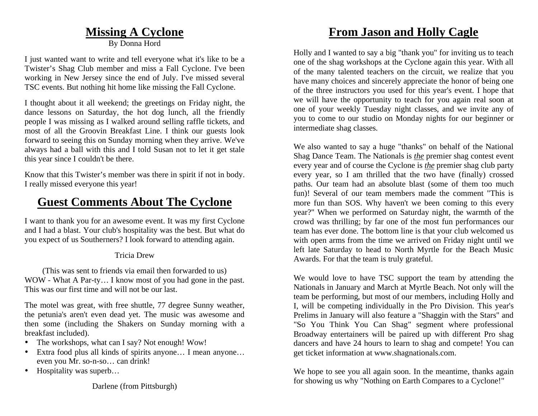### **Missing A Cyclone**

By Donna Hord

I just wanted want to write and tell everyone what it's like to be a Twister's Shag Club member and miss a Fall Cyclone. I've been working in New Jersey since the end of July. I've missed several TSC events. But nothing hit home like missing the Fall Cyclone.

I thought about it all weekend; the greetings on Friday night, the dance lessons on Saturday, the hot dog lunch, all the friendly people I was missing as I walked around selling raffle tickets, and most of all the Groovin Breakfast Line. I think our guests look forward to seeing this on Sunday morning when they arrive. We've always had a ball with this and I told Susan not to let it get stale this year since I couldn't be there.

Know that this Twister's member was there in spirit if not in body. I really missed everyone this year!

### **Guest Comments About The Cyclone**

I want to thank you for an awesome event. It was my first Cyclone and I had a blast. Your club's hospitality was the best. But what do you expect of us Southerners? I look forward to attending again.

### Tricia Drew

(This was sent to friends via email then forwarded to us) WOW - What A Par-ty… I know most of you had gone in the past. This was our first time and will not be our last.

The motel was great, with free shuttle, 77 degree Sunny weather, the petunia's aren't even dead yet. The music was awesome and then some (including the Shakers on Sunday morning with a breakfast included).

- •The workshops, what can I say? Not enough! Wow!
- Extra food plus all kinds of spirits anyone... I mean anyone... even you Mr. so-n-so… can drink!
- •Hospitality was superb…

## **From Jason and Holly Cagle**

Holly and I wanted to say a big "thank you" for inviting us to teach one of the shag workshops at the Cyclone again this year. With all of the many talented teachers on the circuit, we realize that you have many choices and sincerely appreciate the honor of being one of the three instructors you used for this year's event. I hope that we will have the opportunity to teach for you again real soon at one of your weekly Tuesday night classes, and we invite any of you to come to our studio on Monday nights for our beginner or intermediate shag classes.

We also wanted to say a huge "thanks" on behalf of the National Shag Dance Team. The Nationals is *the* premier shag contest event every year and of course the Cyclone is *the* premier shag club party every year, so I am thrilled that the two have (finally) crossed paths. Our team had an absolute blast (some of them too much fun)! Several of our team members made the comment "This is more fun than SOS. Why haven't we been coming to this every year?" When we performed on Saturday night, the warmth of the crowd was thrilling; by far one of the most fun performances our team has ever done. The bottom line is that your club welcomed us with open arms from the time we arrived on Friday night until we left late Saturday to head to North Myrtle for the Beach Music Awards. For that the team is truly grateful.

We would love to have TSC support the team by attending the Nationals in January and March at Myrtle Beach. Not only will the team be performing, but most of our members, including Holly and I, will be competing individually in the Pro Division. This year's Prelims in January will also feature a "Shaggin with the Stars" and "So You Think You Can Shag" segment where professional Broadway entertainers will be paired up with different Pro shag dancers and have 24 hours to learn to shag and compete! You can get ticket information at www.shagnationals.com.

We hope to see you all again soon. In the meantime, thanks again for showing us why "Nothing on Earth Compares to a Cyclone!"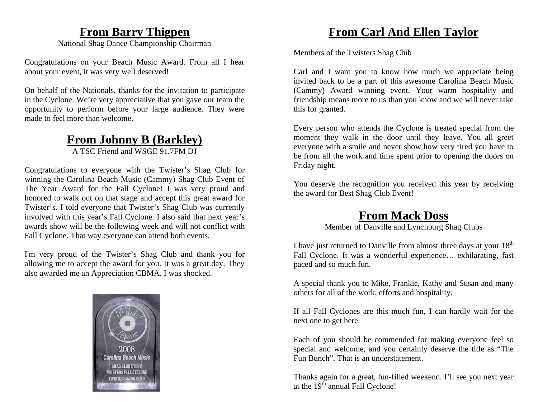### **From Barry Thigpen**

National Shag Dance Championship Chairman

Congratulations on your Beach Music Award. From all I hear about your event, it was very well deserved!

On behalf of the Nationals, thanks for the invitation to participate in the Cyclone. We're very appreciative that you gave our team the opportunity to perform before your large audience. They were made to feel more than welcome.

## **From Johnny B (Barkley)**

A TSC Friend and WSGE 91.7FM DJ

Congratulations to everyone with the Twister's Shag Club for winning the Carolina Beach Music (Cammy) Shag Club Event of The Year Award for the Fall Cyclone! I was very proud and honored to walk out on that stage and accept this great award for Twister's. I told everyone that Twister's Shag Club was currently involved with this year's Fall Cyclone. I also said that next year's awards show will be the following week and will not conflict with Fall Cyclone. That way everyone can attend both events.

I'm very proud of the Twister's Shag Club and thank you for allowing me to accept the award for you. It was a great day. They also awarded me an Appreciation CBMA. I was shocked.



## **From Carl And Ellen Taylor**

Members of the Twisters Shag Club

Carl and I want you to know how much we appreciate being invited back to be a part of this awesome Carolina Beach Music (Cammy) Award winning event. Your warm hospitality and friendship means more to us than you know and we will never take this for granted.

Every person who attends the Cyclone is treated special from the moment they walk in the door until they leave. You all greet everyone with a smile and never show how very tired you have to be from all the work and time spent prior to opening the doors on Friday night.

You deserve the recognition you received this year by receiving the award for Best Shag Club Event!

## **From Mack Doss**

Member of Danville and Lynchburg Shag Clubs

I have just returned to Danville from almost three days at your  $18<sup>th</sup>$ Fall Cyclone. It was a wonderful experience… exhilarating, fast paced and so much fun.

A special thank you to Mike, Frankie, Kathy and Susan and many others for all of the work, efforts and hospitality.

If all Fall Cyclones are this much fun, I can hardly wait for the next one to get here.

Each of you should be commended for making everyone feel so special and welcome, and you certainly deserve the title as "The Fun Bunch". That is an understatement.

Thanks again for a great, fun-filled weekend. I'll see you next year at the  $19^{th}$  annual Fall Cyclone!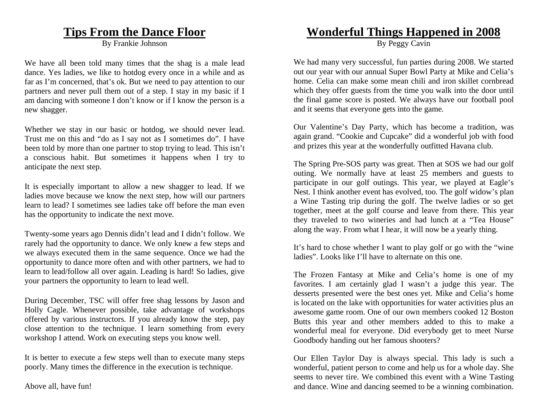### **Tips From the Dance Floor**

By Frankie Johnson

We have all been told many times that the shag is a male lead dance. Yes ladies, we like to hotdog every once in a while and as far as I'm concerned, that's ok. But we need to pay attention to our partners and never pull them out of a step. I stay in my basic if I am dancing with someone I don't know or if I know the person is a new shagger.

Whether we stay in our basic or hotdog, we should never lead. Trust me on this and "do as I say not as I sometimes do". I have been told by more than one partner to stop trying to lead. This isn't a conscious habit. But sometimes it happens when I try to anticipate the next step.

It is especially important to allow a new shagger to lead. If we ladies move because we know the next step, how will our partners learn to lead? I sometimes see ladies take off before the man even has the opportunity to indicate the next move.

Twenty-some years ago Dennis didn't lead and I didn't follow. We rarely had the opportunity to dance. We only knew a few steps and we always executed them in the same sequence. Once we had the opportunity to dance more often and with other partners, we had to learn to lead/follow all over again. Leading is hard! So ladies, give your partners the opportunity to learn to lead well.

During December, TSC will offer free shag lessons by Jason and Holly Cagle. Whenever possible, take advantage of workshops offered by various instructors. If you already know the step, pay close attention to the technique. I learn something from every workshop I attend. Work on executing steps you know well.

It is better to execute a few steps well than to execute many steps poorly. Many times the difference in the execution is technique.

Above all, have fun!

### **Wonderful Things Happened in 2008**

By Peggy Cavin

We had many very successful, fun parties during 2008. We started out our year with our annual Super Bowl Party at Mike and Celia's home. Celia can make some mean chili and iron skillet cornbread which they offer guests from the time you walk into the door until the final game score is posted. We always have our football pool and it seems that everyone gets into the game.

Our Valentine's Day Party, which has become a tradition, was again grand. "Cookie and Cupcake" did a wonderful job with food and prizes this year at the wonderfully outfitted Havana club.

The Spring Pre-SOS party was great. Then at SOS we had our golf outing. We normally have at least 25 members and guests to participate in our golf outings. This year, we played at Eagle's Nest. I think another event has evolved, too. The golf widow's plan a Wine Tasting trip during the golf. The twelve ladies or so get together, meet at the golf course and leave from there. This year they traveled to two wineries and had lunch at a "Tea House" along the way. From what I hear, it will now be a yearly thing.

It's hard to chose whether I want to play golf or go with the "wine ladies". Looks like I'll have to alternate on this one.

The Frozen Fantasy at Mike and Celia's home is one of my favorites. I am certainly glad I wasn't a judge this year. The desserts presented were the best ones yet. Mike and Celia's home is located on the lake with opportunities for water activities plus an awesome game room. One of our own members cooked 12 Boston Butts this year and other members added to this to make a wonderful meal for everyone. Did everybody get to meet Nurse Goodbody handing out her famous shooters?

Our Ellen Taylor Day is always special. This lady is such a wonderful, patient person to come and help us for a whole day. She seems to never tire. We combined this event with a Wine Tasting and dance. Wine and dancing seemed to be a winning combination.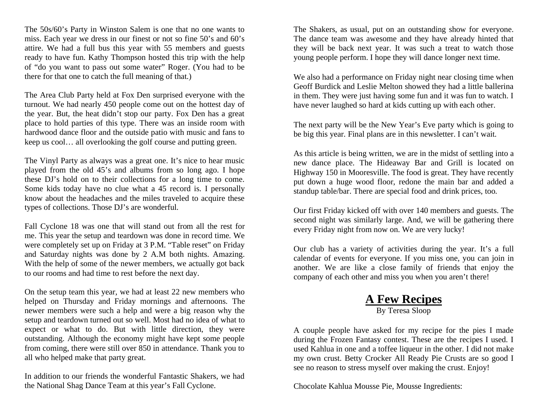The 50s/60's Party in Winston Salem is one that no one wants to miss. Each year we dress in our finest or not so fine 50's and 60's attire. We had a full bus this year with 55 members and guests ready to have fun. Kathy Thompson hosted this trip with the help of "do you want to pass out some water" Roger. (You had to be there for that one to catch the full meaning of that.)

The Area Club Party held at Fox Den surprised everyone with the turnout. We had nearly 450 people come out on the hottest day of the year. But, the heat didn't stop our party. Fox Den has a great place to hold parties of this type. There was an inside room with hardwood dance floor and the outside patio with music and fans to keep us cool… all overlooking the golf course and putting green.

The Vinyl Party as always was a great one. It's nice to hear music played from the old 45's and albums from so long ago. I hope these DJ's hold on to their collections for a long time to come. Some kids today have no clue what a 45 record is. I personally know about the headaches and the miles traveled to acquire these types of collections. Those DJ's are wonderful.

Fall Cyclone 18 was one that will stand out from all the rest for me. This year the setup and teardown was done in record time. We were completely set up on Friday at 3 P.M. "Table reset" on Friday and Saturday nights was done by 2 A.M both nights. Amazing. With the help of some of the newer members, we actually got back to our rooms and had time to rest before the next day.

On the setup team this year, we had at least 22 new members who helped on Thursday and Friday mornings and afternoons. The newer members were such a help and were a big reason why the setup and teardown turned out so well. Most had no idea of what to expect or what to do. But with little direction, they were outstanding. Although the economy might have kept some people from coming, there were still over 850 in attendance. Thank you to all who helped make that party great.

In addition to our friends the wonderful Fantastic Shakers, we had the National Shag Dance Team at this year's Fall Cyclone.

The Shakers, as usual, put on an outstanding show for everyone. The dance team was awesome and they have already hinted that they will be back next year. It was such a treat to watch those young people perform. I hope they will dance longer next time.

We also had a performance on Friday night near closing time when Geoff Burdick and Leslie Melton showed they had a little ballerina in them. They were just having some fun and it was fun to watch. I have never laughed so hard at kids cutting up with each other.

The next party will be the New Year's Eve party which is going to be big this year. Final plans are in this newsletter. I can't wait.

As this article is being written, we are in the midst of settling into a new dance place. The Hideaway Bar and Grill is located on Highway 150 in Mooresville. The food is great. They have recently put down a huge wood floor, redone the main bar and added a standup table/bar. There are special food and drink prices, too.

Our first Friday kicked off with over 140 members and guests. The second night was similarly large. And, we will be gathering there every Friday night from now on. We are very lucky!

Our club has a variety of activities during the year. It's a full calendar of events for everyone. If you miss one, you can join in another. We are like a close family of friends that enjoy the company of each other and miss you when you aren't there!

## **A Few Recipes**

By Teresa Sloop

A couple people have asked for my recipe for the pies I made during the Frozen Fantasy contest. These are the recipes I used. I used Kahlua in one and a toffee liqueur in the other. I did not make my own crust. Betty Crocker All Ready Pie Crusts are so good I see no reason to stress myself over making the crust. Enjoy!

Chocolate Kahlua Mousse Pie, Mousse Ingredients: